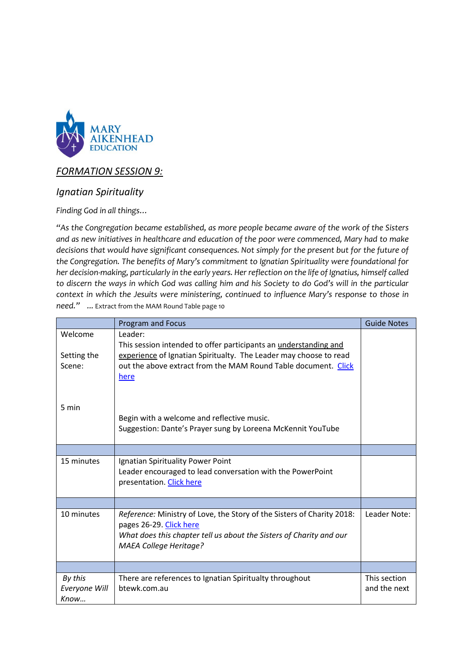

## *FORMATION SESSION 9:*

## *Ignatian Spirituality*

*Finding God in all things…*

*"As the Congregation became established, as more people became aware of the work of the Sisters and as new initiatives in healthcare and education of the poor were commenced, Mary had to make decisions that would have significant consequences. Not simply for the present but for the future of the Congregation. The benefits of Mary's commitment to Ignatian Spirituality were foundational for her decision-making, particularly in the early years. Her reflection on the life of Ignatius, himself called to discern the ways in which God was calling him and his Society to do God's will in the particular context in which the Jesuits were ministering, continued to influence Mary's response to those in need." ...* Extract from the MAM Round Table page 10

|                          | Program and Focus                                                                                                                                                                                         | <b>Guide Notes</b>           |
|--------------------------|-----------------------------------------------------------------------------------------------------------------------------------------------------------------------------------------------------------|------------------------------|
| Welcome<br>Setting the   | Leader:<br>This session intended to offer participants an understanding and<br>experience of Ignatian Spiritualty. The Leader may choose to read                                                          |                              |
| Scene:                   | out the above extract from the MAM Round Table document. Click<br>here                                                                                                                                    |                              |
| 5 min                    | Begin with a welcome and reflective music.<br>Suggestion: Dante's Prayer sung by Loreena McKennit YouTube                                                                                                 |                              |
|                          |                                                                                                                                                                                                           |                              |
| 15 minutes               | Ignatian Spirituality Power Point<br>Leader encouraged to lead conversation with the PowerPoint<br>presentation. Click here                                                                               |                              |
|                          |                                                                                                                                                                                                           |                              |
| 10 minutes               | Reference: Ministry of Love, the Story of the Sisters of Charity 2018:<br>pages 26-29. Click here<br>What does this chapter tell us about the Sisters of Charity and our<br><b>MAEA College Heritage?</b> | Leader Note:                 |
|                          |                                                                                                                                                                                                           |                              |
| By this<br>Everyone Will | There are references to Ignatian Spiritualty throughout<br>btewk.com.au                                                                                                                                   | This section<br>and the next |
| Know                     |                                                                                                                                                                                                           |                              |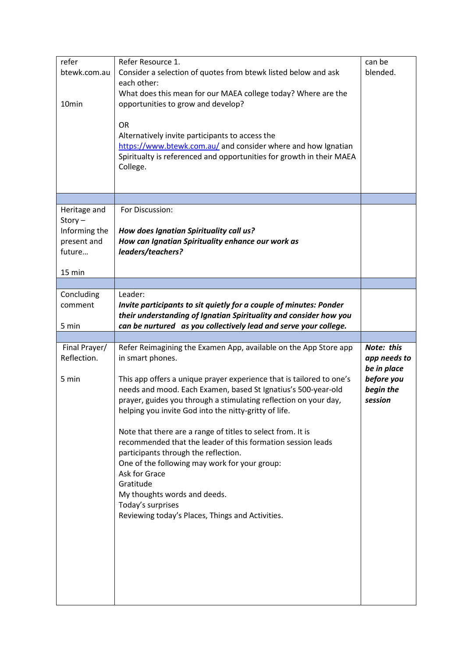| refer<br>btewk.com.au<br>10 <sub>min</sub>                                    | Refer Resource 1.<br>Consider a selection of quotes from btewk listed below and ask<br>each other:<br>What does this mean for our MAEA college today? Where are the<br>opportunities to grow and develop?<br><b>OR</b><br>Alternatively invite participants to access the<br>https://www.btewk.com.au/ and consider where and how Ignatian<br>Spiritualty is referenced and opportunities for growth in their MAEA<br>College.                                                                                                                                                                                                                                                                                           | can be<br>blended.                                                              |
|-------------------------------------------------------------------------------|--------------------------------------------------------------------------------------------------------------------------------------------------------------------------------------------------------------------------------------------------------------------------------------------------------------------------------------------------------------------------------------------------------------------------------------------------------------------------------------------------------------------------------------------------------------------------------------------------------------------------------------------------------------------------------------------------------------------------|---------------------------------------------------------------------------------|
| Heritage and<br>$Story -$<br>Informing the<br>present and<br>future<br>15 min | For Discussion:<br>How does Ignatian Spirituality call us?<br>How can Ignatian Spirituality enhance our work as<br>leaders/teachers?                                                                                                                                                                                                                                                                                                                                                                                                                                                                                                                                                                                     |                                                                                 |
|                                                                               |                                                                                                                                                                                                                                                                                                                                                                                                                                                                                                                                                                                                                                                                                                                          |                                                                                 |
| Concluding<br>comment<br>5 min                                                | Leader:<br>Invite participants to sit quietly for a couple of minutes: Ponder<br>their understanding of Ignatian Spirituality and consider how you<br>can be nurtured as you collectively lead and serve your college.                                                                                                                                                                                                                                                                                                                                                                                                                                                                                                   |                                                                                 |
|                                                                               |                                                                                                                                                                                                                                                                                                                                                                                                                                                                                                                                                                                                                                                                                                                          |                                                                                 |
| Final Prayer/<br>Reflection.<br>5 min                                         | Refer Reimagining the Examen App, available on the App Store app<br>in smart phones.<br>This app offers a unique prayer experience that is tailored to one's<br>needs and mood. Each Examen, based St Ignatius's 500-year-old<br>prayer, guides you through a stimulating reflection on your day,<br>helping you invite God into the nitty-gritty of life.<br>Note that there are a range of titles to select from. It is<br>recommended that the leader of this formation session leads<br>participants through the reflection.<br>One of the following may work for your group:<br>Ask for Grace<br>Gratitude<br>My thoughts words and deeds.<br>Today's surprises<br>Reviewing today's Places, Things and Activities. | Note: this<br>app needs to<br>be in place<br>before you<br>begin the<br>session |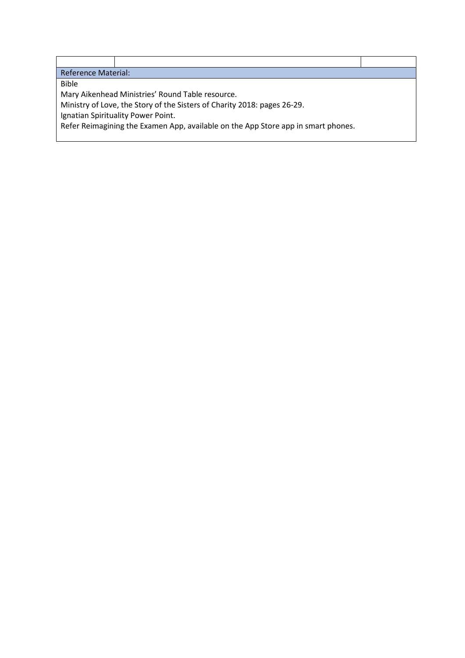| <b>Reference Material:</b>                                                        |  |  |  |  |
|-----------------------------------------------------------------------------------|--|--|--|--|
| <b>Bible</b>                                                                      |  |  |  |  |
| Mary Aikenhead Ministries' Round Table resource.                                  |  |  |  |  |
| Ministry of Love, the Story of the Sisters of Charity 2018: pages 26-29.          |  |  |  |  |
| Ignatian Spirituality Power Point.                                                |  |  |  |  |
| Refer Reimagining the Examen App, available on the App Store app in smart phones. |  |  |  |  |
|                                                                                   |  |  |  |  |